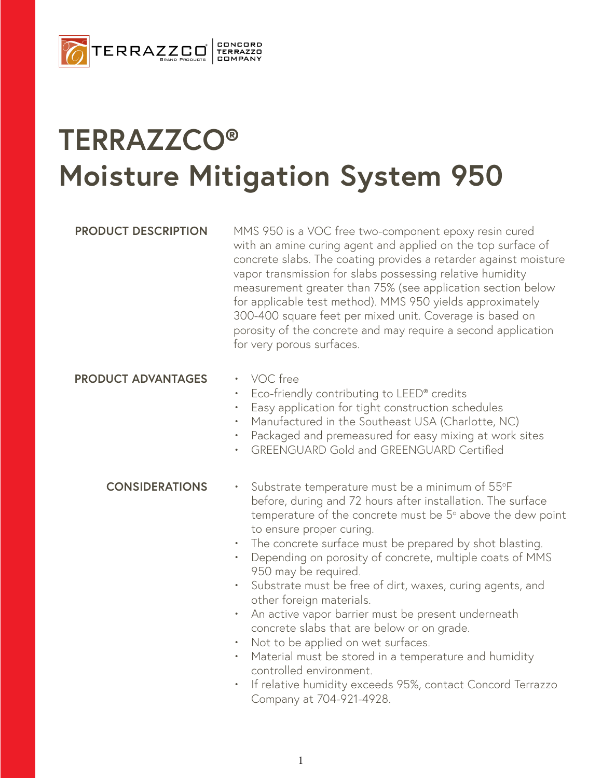

# **TERRAZZCO® Moisture Mitigation System 950**

**PRODUCT DESCRIPTION** MMS 950 is a VOC free two-component epoxy resin cured with an amine curing agent and applied on the top surface of concrete slabs. The coating provides a retarder against moisture vapor transmission for slabs possessing relative humidity measurement greater than 75% (see application section below for applicable test method). MMS 950 yields approximately 300-400 square feet per mixed unit. Coverage is based on porosity of the concrete and may require a second application for very porous surfaces.

## **PRODUCT ADVANTAGES** • VOC free

- 
- Eco-friendly contributing to LEED® credits
- Easy application for tight construction schedules
- Manufactured in the Southeast USA (Charlotte, NC)
- Packaged and premeasured for easy mixing at work sites
- GREENGUARD Gold and GREENGUARD Certified

### **CONSIDERATIONS**

- Substrate temperature must be a minimum of 55°F before, during and 72 hours after installation. The surface temperature of the concrete must be  $5^{\circ}$  above the dew point to ensure proper curing.
- The concrete surface must be prepared by shot blasting.
- Depending on porosity of concrete, multiple coats of MMS 950 may be required.
- Substrate must be free of dirt, waxes, curing agents, and other foreign materials.
- An active vapor barrier must be present underneath concrete slabs that are below or on grade.
- Not to be applied on wet surfaces.
- Material must be stored in a temperature and humidity controlled environment.
- If relative humidity exceeds 95%, contact Concord Terrazzo Company at 704-921-4928.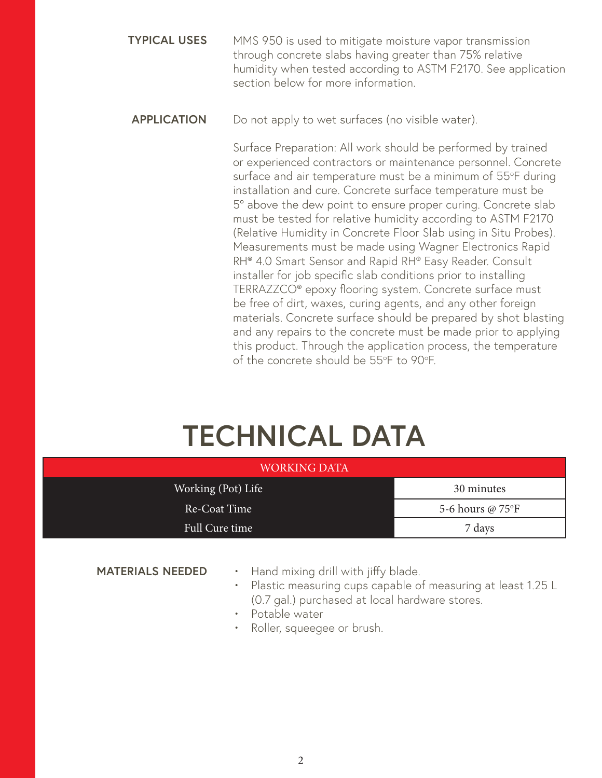- MMS 950 is used to mitigate moisture vapor transmission through concrete slabs having greater than 75% relative humidity when tested according to ASTM F2170. See application section below for more information. **TYPICAL USES**
- **APPLICATION** Do not apply to wet surfaces (no visible water).

Surface Preparation: All work should be performed by trained or experienced contractors or maintenance personnel. Concrete surface and air temperature must be a minimum of 55°F during installation and cure. Concrete surface temperature must be 5° above the dew point to ensure proper curing. Concrete slab must be tested for relative humidity according to ASTM F2170 (Relative Humidity in Concrete Floor Slab using in Situ Probes). Measurements must be made using Wagner Electronics Rapid RH® 4.0 Smart Sensor and Rapid RH® Easy Reader. Consult installer for job specific slab conditions prior to installing TERRAZZCO® epoxy flooring system. Concrete surface must be free of dirt, waxes, curing agents, and any other foreign materials. Concrete surface should be prepared by shot blasting and any repairs to the concrete must be made prior to applying this product. Through the application process, the temperature of the concrete should be 55°F to 90°F.

# **TECHNICAL DATA**

| <b>WORKING DATA</b> |                  |
|---------------------|------------------|
| Working (Pot) Life  | 30 minutes       |
| Re-Coat Time        | 5-6 hours @ 75°F |
| Full Cure time      | 7 days           |

### **MATERIALS NEEDED**

• Hand mixing drill with jiffy blade.

- Plastic measuring cups capable of measuring at least 1.25 L (0.7 gal.) purchased at local hardware stores.
- Potable water
- Roller, squeegee or brush.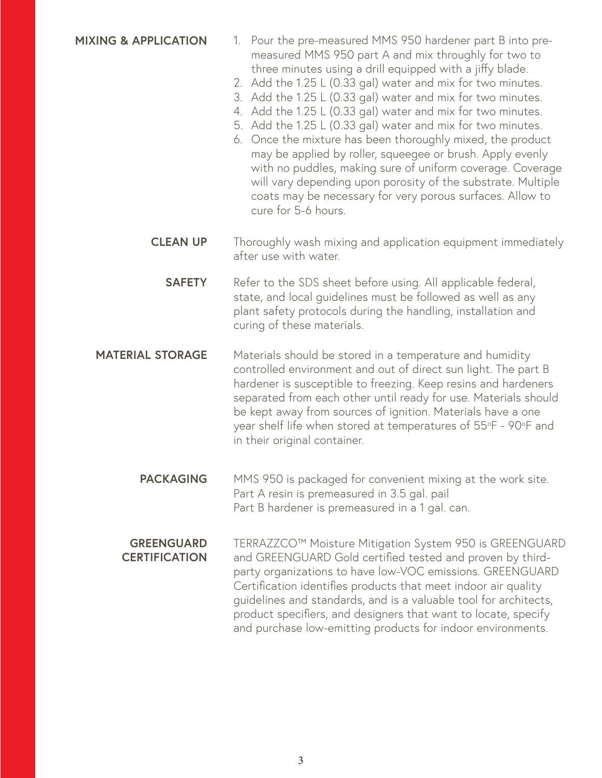### **MIXING & APPLICATION**

- 1. Pour the pre-measured MMS 950 hardener part B into premeasured MMS 950 part A and mix throughly for two to three minutes using a drill equipped with a jiffy blade.
- 2. Add the 1.25 L (0.33 gal) water and mix for two minutes.
- 3. Add the 1.25 L (0.33 gal) water and mix for two minutes.
- 4. Add the 1.25 L (0.33 gal) water and mix for two minutes.
- 5. Add the 1.25 L (0.33 gal) water and mix for two minutes.
- 6. Once the mixture has been thoroughly mixed, the product may be applied by roller, squeegee or brush. Apply evenly with no puddles, making sure of uniform coverage. Coverage will vary depending upon porosity of the substrate. Multiple coats may be necessary for very porous surfaces. Allow to cure for 5-6 hours.
- Thoroughly wash mixing and application equipment immediately after use with water. **CLEAN UP**
	- Refer to the SDS sheet before using. All applicable federal, state, and local guidelines must be followed as well as any plant safety protocols during the handling, installation and curing of these materials. **SAFETY**
- Materials should be stored in a temperature and humidity controlled environment and out of direct sun light. The part B hardener is susceptible to freezing. Keep resins and hardeners separated from each other until ready for use. Materials should be kept away from sources of ignition. Materials have a one year shelf life when stored at temperatures of 55°F - 90°F and in their original container. **MATERIAL STORAGE**
	- MMS 950 is packaged for convenient mixing at the work site. Part A resin is premeasured in 3.5 gal. pail Part B hardener is premeasured in a 1 gal. can. **PACKAGING**
	- TERRAZZCO™ Moisture Mitigation System 950 is GREENGUARD and GREENGUARD Gold certified tested and proven by thirdparty organizations to have low-VOC emissions. GREENGUARD Certification identifies products that meet indoor air quality guidelines and standards, and is a valuable tool for architects, product specifiers, and designers that want to locate, specify and purchase low-emitting products for indoor environments. **GREENGUARD CERTIFICATION**